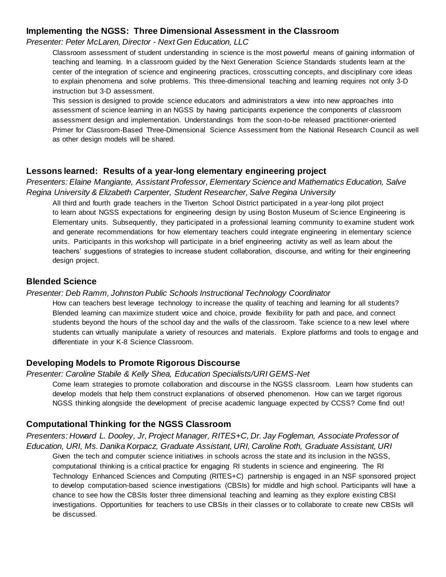# **Implementing the NGSS: Three Dimensional Assessment in the Classroom**

#### *Presenter: Peter McLaren, Director - Next Gen Education, LLC*

Classroom assessment of student understanding in science is the most powerful means of gaining information of teaching and learning. In a classroom guided by the Next Generation Science Standards students learn at the center of the integration of science and engineering practices, crosscutting concepts, and disciplinary core ideas to explain phenomena and solve problems. This three-dimensional teaching and learning requires not only 3-D instruction but 3-D assessment.

This session is designed to provide science educators and administrators a view into new approaches into assessment of science learning in an NGSS by having participants experience the components of classroom assessment design and implementation. Understandings from the soon-to-be released practitioner-oriented Primer for Classroom-Based Three-Dimensional Science Assessment from the National Research Council as well as other design models will be shared.

## **Lessons learned: Results of a year-long elementary engineering project**

*Presenters: Elaine Mangiante, Assistant Professor, Elementary Science and Mathematics Education, Salve Regina University & Elizabeth Carpenter, Student Researcher, Salve Regina University*

All third and fourth grade teachers in the Tiverton School District participated in a year-long pilot project to learn about NGSS expectations for engineering design by using Boston Museum of Science Engineering is Elementary units. Subsequently, they participated in a professional learning community to examine student work and generate recommendations for how elementary teachers could integrate engineering in elementary science units. Participants in this workshop will participate in a brief engineering activity as well as learn about the teachers' suggestions of strategies to increase student collaboration, discourse, and writing for their engineering design project.

## **Blended Science**

#### *Presenter: Deb Ramm, Johnston Public Schools Instructional Technology Coordinator*

How can teachers best leverage technology to increase the quality of teaching and learning for all students? Blended learning can maximize student voice and choice, provide flexibility for path and pace, and connect students beyond the hours of the school day and the walls of the classroom. Take science to a new level where students can virtually manipulate a variety of resources and materials. Explore platforms and tools to engage and differentiate in your K-8 Science Classroom.

## **Developing Models to Promote Rigorous Discourse**

#### *Presenter: Caroline Stabile & Kelly Shea, Education Specialists/URI GEMS-Net*

Come learn strategies to promote collaboration and discourse in the NGSS classroom. Learn how students can develop models that help them construct explanations of observed phenomenon. How can we target rigorous NGSS thinking alongside the development of precise academic language expected by CCSS? Come find out!

## **Computational Thinking for the NGSS Classroom**

*Presenters: Howard L. Dooley, Jr, Project Manager, RITES+C, Dr. Jay Fogleman, Associate Professor of Education, URI, Ms. Danika Korpacz, Graduate Assistant, URI, Caroline Roth, Graduate Assistant, URI*

Given the tech and computer science initiatives in schools across the state and its inclusion in the NGSS, computational thinking is a critical practice for engaging RI students in science and engineering. The RI Technology Enhanced Sciences and Computing (RITES+C) partnership is engaged in an NSF sponsored project to develop computation-based science investigations (CBSIs) for middle and high school. Participants will have a chance to see how the CBSIs foster three dimensional teaching and learning as they explore existing CBSI investigations. Opportunities for teachers to use CBSIs in their classes or to collaborate to create new CBSIs will be discussed.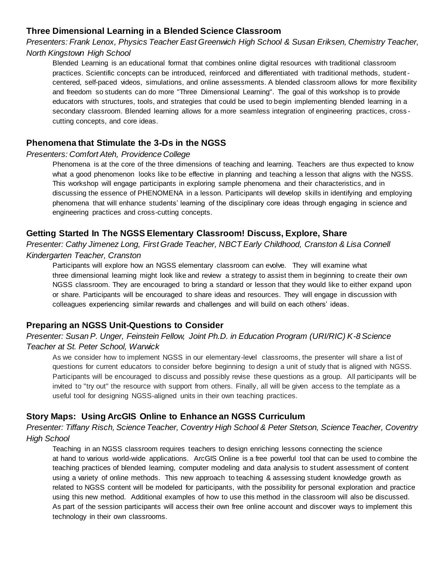# **Three Dimensional Learning in a Blended Science Classroom**

*Presenters: Frank Lenox, Physics Teacher East Greenwich High School & Susan Eriksen, Chemistry Teacher, North Kingstown High School*

Blended Learning is an educational format that combines online digital resources with traditional classroom practices. Scientific concepts can be introduced, reinforced and differentiated with traditional methods, studentcentered, self-paced videos, simulations, and online assessments. A blended classroom allows for more flexibility and freedom so students can do more "Three Dimensional Learning". The goal of this workshop is to provide educators with structures, tools, and strategies that could be used to begin implementing blended learning in a secondary classroom. Blended learning allows for a more seamless integration of engineering practices, cross cutting concepts, and core ideas.

# **Phenomena that Stimulate the 3-Ds in the NGSS**

## *Presenters: Comfort Ateh, Providence College*

Phenomena is at the core of the three dimensions of teaching and learning. Teachers are thus expected to know what a good phenomenon looks like to be effective in planning and teaching a lesson that aligns with the NGSS. This workshop will engage participants in exploring sample phenomena and their characteristics, and in discussing the essence of PHENOMENA in a lesson. Participants will develop skills in identifying and employing phenomena that will enhance students' learning of the disciplinary core ideas through engaging in science and engineering practices and cross-cutting concepts.

# **Getting Started In The NGSS Elementary Classroom! Discuss, Explore, Share**

*Presenter: Cathy Jimenez Long, First Grade Teacher, NBCT Early Childhood, Cranston & Lisa Connell Kindergarten Teacher, Cranston*

Participants will explore how an NGSS elementary classroom can evolve. They will examine what three dimensional learning might look like and review a strategy to assist them in beginning to create their own NGSS classroom. They are encouraged to bring a standard or lesson that they would like to either expand upon or share. Participants will be encouraged to share ideas and resources. They will engage in discussion with colleagues experiencing similar rewards and challenges and will build on each others' ideas.

## **Preparing an NGSS Unit-Questions to Consider**

# *Presenter: Susan P. Unger, Feinstein Fellow, Joint Ph.D. in Education Program (URI/RIC) K-8 Science Teacher at St. Peter School, Warwick*

As we consider how to implement NGSS in our elementary-level classrooms, the presenter will share a list of questions for current educators to consider before beginning to design a unit of study that is aligned with NGSS. Participants will be encouraged to discuss and possibly revise these questions as a group. All participants will be invited to "try out" the resource with support from others. Finally, all will be given access to the template as a useful tool for designing NGSS-aligned units in their own teaching practices.

# **Story Maps: Using ArcGIS Online to Enhance an NGSS Curriculum**

*Presenter: Tiffany Risch, Science Teacher, Coventry High School & Peter Stetson, Science Teacher, Coventry High School*

Teaching in an NGSS classroom requires teachers to design enriching lessons connecting the science at hand to various world-wide applications. ArcGIS Online is a free powerful tool that can be used to combine the teaching practices of blended learning, computer modeling and data analysis to student assessment of content using a variety of online methods. This new approach to teaching & assessing student knowledge growth as related to NGSS content will be modeled for participants, with the possibility for personal exploration and practice using this new method. Additional examples of how to use this method in the classroom will also be discussed. As part of the session participants will access their own free online account and discover ways to implement this technology in their own classrooms.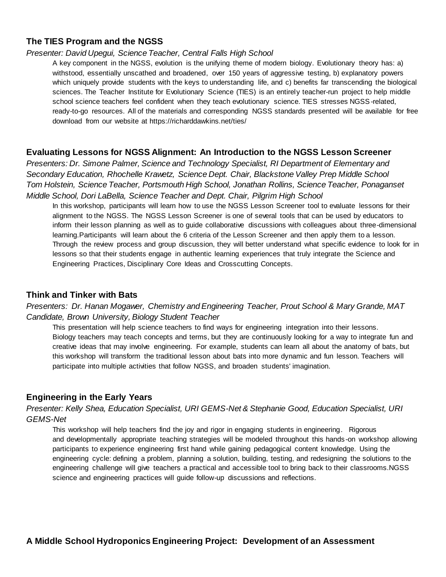# **The TIES Program and the NGSS**

#### *Presenter: David Upegui, Science Teacher, Central Falls High School*

A key component in the NGSS, evolution is the unifying theme of modern biology. Evolutionary theory has: a) withstood, essentially unscathed and broadened, over 150 years of aggressive testing, b) explanatory powers which uniquely provide students with the keys to understanding life, and c) benefits far transcending the biological sciences. The Teacher Institute for Evolutionary Science (TIES) is an entirely teacher-run project to help middle school science teachers feel confident when they teach evolutionary science. TIES stresses NGSS-related, ready-to-go resources. All of the materials and corresponding NGSS standards presented will be available for free download from our website at https://richarddawkins.net/ties/

#### **Evaluating Lessons for NGSS Alignment: An Introduction to the NGSS Lesson Screener**

*Presenters: Dr. Simone Palmer, Science and Technology Specialist, RI Department of Elementary and Secondary Education, Rhochelle Krawetz, Science Dept. Chair, Blackstone Valley Prep Middle School Tom Holstein, Science Teacher, Portsmouth High School, Jonathan Rollins, Science Teacher, Ponaganset Middle School, Dori LaBella, Science Teacher and Dept. Chair, Pilgrim High School*

In this workshop, participants will learn how to use the NGSS Lesson Screener tool to evaluate lessons for their alignment to the NGSS. The NGSS Lesson Screener is one of several tools that can be used by educators to inform their lesson planning as well as to guide collaborative discussions with colleagues about three-dimensional learning.Participants will learn about the 6 criteria of the Lesson Screener and then apply them to a lesson. Through the review process and group discussion, they will better understand what specific evidence to look for in lessons so that their students engage in authentic learning experiences that truly integrate the Science and Engineering Practices, Disciplinary Core Ideas and Crosscutting Concepts.

## **Think and Tinker with Bats**

*Presenters: Dr. Hanan Mogawer, Chemistry and Engineering Teacher, Prout School & Mary Grande, MAT Candidate, Brown University, Biology Student Teacher*

This presentation will help science teachers to find ways for engineering integration into their lessons. Biology teachers may teach concepts and terms, but they are continuously looking for a way to integrate fun and creative ideas that may involve engineering. For example, students can learn all about the anatomy of bats, but this workshop will transform the traditional lesson about bats into more dynamic and fun lesson. Teachers will participate into multiple activities that follow NGSS, and broaden students' imagination.

#### **Engineering in the Early Years**

*Presenter: Kelly Shea, Education Specialist, URI GEMS-Net & Stephanie Good, Education Specialist, URI GEMS-Net*

This workshop will help teachers find the joy and rigor in engaging students in engineering. Rigorous and developmentally appropriate teaching strategies will be modeled throughout this hands -on workshop allowing participants to experience engineering first hand while gaining pedagogical content knowledge. Using the engineering cycle: defining a problem, planning a solution, building, testing, and redesigning the solutions to the engineering challenge will give teachers a practical and accessible tool to bring back to their classrooms.NGSS science and engineering practices will guide follow-up discussions and reflections.